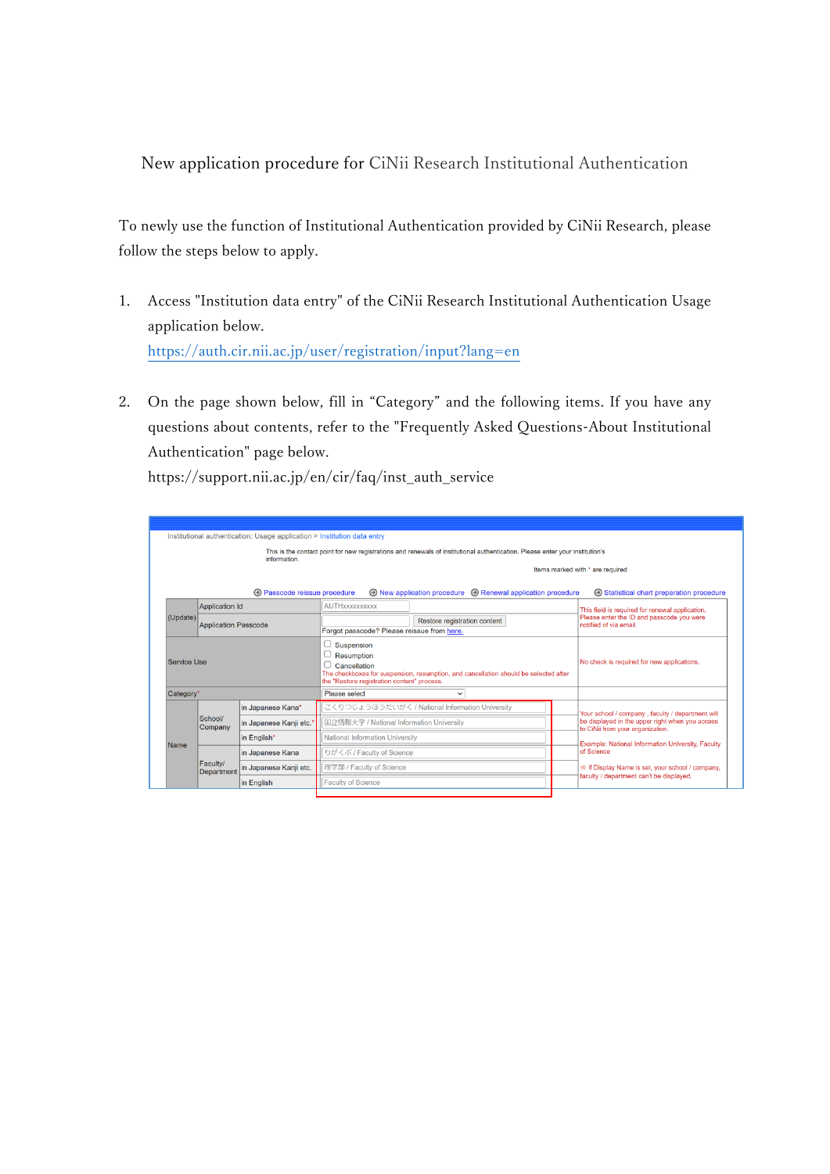New application procedure for CiNii Research Institutional Authentication

To newly use the function of Institutional Authentication provided by CiNii Research, please follow the steps below to apply.

- 1. Access "Institution data entry" of the CiNii Research Institutional Authentication Usage application below. <https://auth.cir.nii.ac.jp/user/registration/input?lang=en>
- 2. On the page shown below, fill in "Category" and the following items. If you have any questions about contents, refer to the "Frequently Asked Questions-About Institutional Authentication" page below.

https://support.nii.ac.jp/en/cir/faq/inst\_auth\_service

| Institutional authentication: Usage application > Institution data entry |                                                                                                                                               |                             |                               |                                                                                                                                                                                 |                                                                         |                                                 |                                                                                                                                                                 |  |
|--------------------------------------------------------------------------|-----------------------------------------------------------------------------------------------------------------------------------------------|-----------------------------|-------------------------------|---------------------------------------------------------------------------------------------------------------------------------------------------------------------------------|-------------------------------------------------------------------------|-------------------------------------------------|-----------------------------------------------------------------------------------------------------------------------------------------------------------------|--|
|                                                                          | This is the contact point for new registrations and renewals of institutional authentication. Please enter your institution's<br>information. |                             |                               |                                                                                                                                                                                 |                                                                         |                                                 |                                                                                                                                                                 |  |
|                                                                          |                                                                                                                                               |                             |                               | Items marked with * are required                                                                                                                                                |                                                                         |                                                 |                                                                                                                                                                 |  |
|                                                                          | <b>A</b> Passcode reissue procedure                                                                                                           |                             |                               |                                                                                                                                                                                 | $\odot$ New application procedure $\odot$ Renewal application procedure |                                                 | <b>E</b> Statistical chart preparation procedure                                                                                                                |  |
|                                                                          |                                                                                                                                               | <b>Application Id</b>       |                               | <b>AUTH</b> xxxxxxxxxx                                                                                                                                                          |                                                                         | This field is required for renewal application. |                                                                                                                                                                 |  |
|                                                                          | (Update)                                                                                                                                      | <b>Application Passcode</b> |                               | Forgot passcode? Please reissue from here.                                                                                                                                      | Restore registration content                                            |                                                 | Please enter the ID and passcode you were<br>notified of via email.                                                                                             |  |
|                                                                          | Service Use                                                                                                                                   |                             |                               | Suspension<br>Resumption<br>Cancellation<br>The checkboxes for suspension, resumption, and cancellation should be selected after<br>the "Restore registration content" process. |                                                                         |                                                 | No check is required for new applications.                                                                                                                      |  |
|                                                                          | Category*                                                                                                                                     |                             | Please select<br>$\checkmark$ |                                                                                                                                                                                 |                                                                         |                                                 |                                                                                                                                                                 |  |
|                                                                          |                                                                                                                                               | School/<br>Company          | in Japanese Kana*             |                                                                                                                                                                                 | こくりつじょうほうだいがく / National Information University                         |                                                 | Your school / company, faculty / department will                                                                                                                |  |
|                                                                          |                                                                                                                                               |                             | in Japanese Kanji etc.        | 国立情報大学 / National Information University                                                                                                                                        |                                                                         |                                                 | be displayed in the upper right when you access<br>to CiNii from your organization.                                                                             |  |
|                                                                          | Name                                                                                                                                          |                             | in English*                   | National Information University                                                                                                                                                 |                                                                         |                                                 | Example: National Information University, Faculty<br>of Science<br>※ If Display Name is set, your school / company,<br>faculty / department can't be displayed. |  |
|                                                                          |                                                                                                                                               |                             | in Japanese Kana              | りがくぶ / Faculty of Science                                                                                                                                                       |                                                                         |                                                 |                                                                                                                                                                 |  |
|                                                                          |                                                                                                                                               | Faculty/<br>Department      | in Japanese Kanji etc.        | 理学部 / Faculty of Science                                                                                                                                                        |                                                                         |                                                 |                                                                                                                                                                 |  |
|                                                                          |                                                                                                                                               |                             | in English                    | <b>Faculty of Science</b>                                                                                                                                                       |                                                                         |                                                 |                                                                                                                                                                 |  |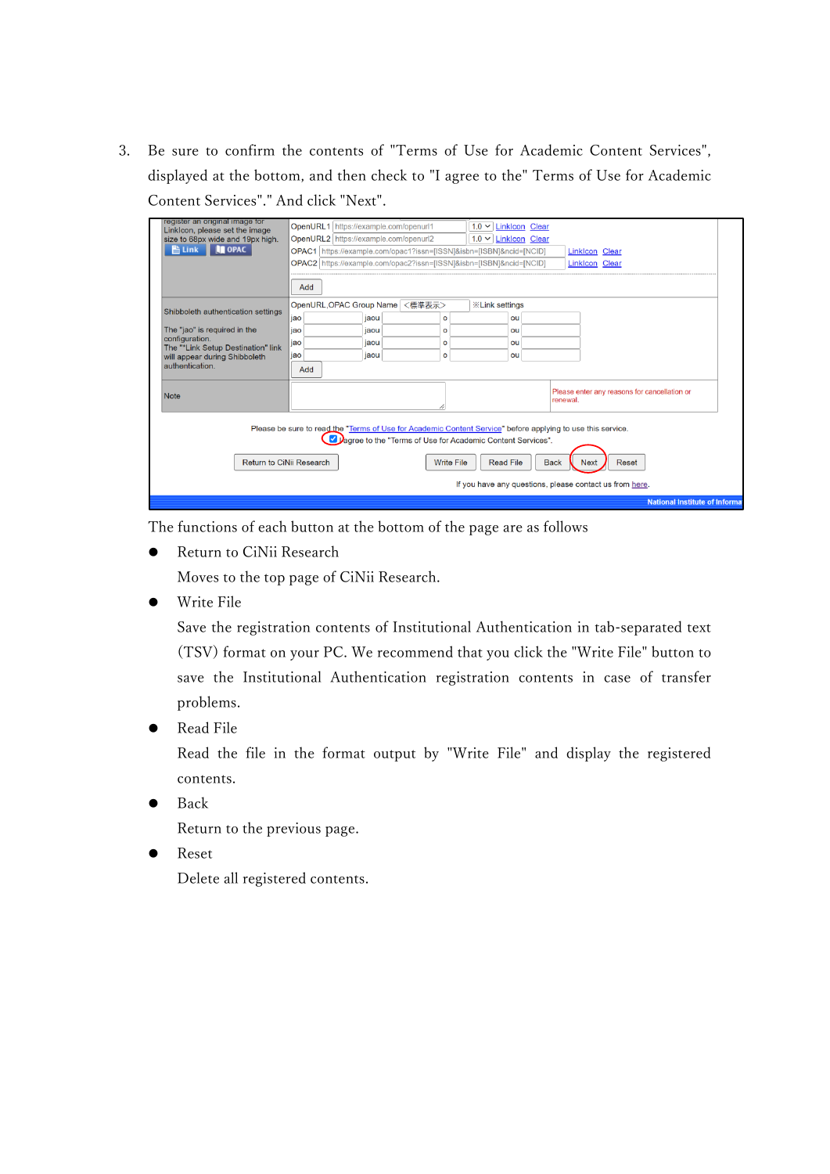3. Be sure to confirm the contents of "Terms of Use for Academic Content Services", displayed at the bottom, and then check to "I agree to the" Terms of Use for Academic Content Services"." And click "Next".

| register an original image for<br>Linklcon, please set the image<br>size to 68px wide and 19px high.<br><b>IN OPAC</b><br><b>当 Link</b>                                                                                                                                                                                                                  | OpenURL1 https://example.com/openurl1<br>$1.0 \vee$ Linklcon Clear<br>OpenURL2 https://example.com/openurl2<br>$1.0 \vee$ Linklcon Clear<br>OPAC1 https://example.com/opac1?issn=[ISSN]&isbn=[ISBN]&ncid=[NCID]<br><b>Linklcon Clear</b><br>OPAC2 https://example.com/opac2?issn=[ISSN]&isbn=[ISBN]&ncid=[NCID]<br><b>Linklcon Clear</b><br>Add |  |  |  |  |
|----------------------------------------------------------------------------------------------------------------------------------------------------------------------------------------------------------------------------------------------------------------------------------------------------------------------------------------------------------|-------------------------------------------------------------------------------------------------------------------------------------------------------------------------------------------------------------------------------------------------------------------------------------------------------------------------------------------------|--|--|--|--|
| Shibboleth authentication settings<br>The "jao" is required in the<br>configuration.<br>The "*Link Setup Destination" link<br>will appear during Shibboleth<br>authentication.                                                                                                                                                                           | OpenURL, OPAC Group Name<br><標準表示><br><b>XXLink settings</b><br>jaou<br>jao<br>ou<br>o<br>jao<br>jaou<br>ou<br>$\circ$<br>iao<br>jaou<br>o<br>ou<br>jaou<br>jao<br>$\circ$<br>ou<br>Add                                                                                                                                                         |  |  |  |  |
| <b>Note</b>                                                                                                                                                                                                                                                                                                                                              | Please enter any reasons for cancellation or<br>renewal.                                                                                                                                                                                                                                                                                        |  |  |  |  |
| Please be sure to read the "Terms of Use for Academic Content Service" before applying to use this service.<br>Lagree to the "Terms of Use for Academic Content Services".<br>Return to CiNii Research<br><b>Write File</b><br><b>Read File</b><br><b>Back</b><br><b>Reset</b><br><b>Next</b><br>If you have any questions, please contact us from here. |                                                                                                                                                                                                                                                                                                                                                 |  |  |  |  |
|                                                                                                                                                                                                                                                                                                                                                          | <b>National Institute of Informa</b>                                                                                                                                                                                                                                                                                                            |  |  |  |  |

The functions of each button at the bottom of the page are as follows

**•** Return to CiNii Research

Moves to the top page of CiNii Research.

Write File

Save the registration contents of Institutional Authentication in tab-separated text (TSV) format on your PC. We recommend that you click the "Write File" button to save the Institutional Authentication registration contents in case of transfer problems.

Read File

Read the file in the format output by "Write File" and display the registered contents.

Back

Return to the previous page.

**•** Reset

Delete all registered contents.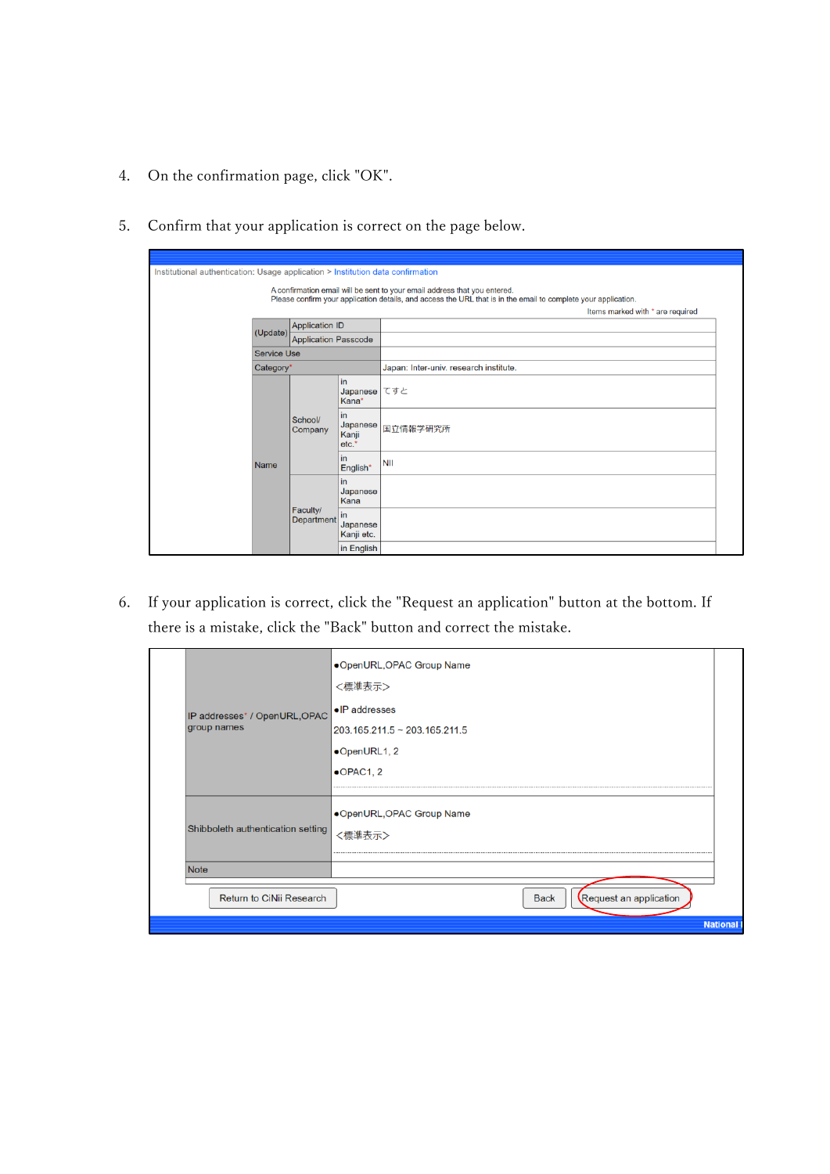- 4. On the confirmation page, click "OK".
- 5. Confirm that your application is correct on the page below.

| Institutional authentication: Usage application > Institution data confirmation                                                                                                                                                 |                    |                             |                                    |                                        |  |  |
|---------------------------------------------------------------------------------------------------------------------------------------------------------------------------------------------------------------------------------|--------------------|-----------------------------|------------------------------------|----------------------------------------|--|--|
| A confirmation email will be sent to your email address that you entered.<br>Please confirm your application details, and access the URL that is in the email to complete your application.<br>Items marked with * are required |                    |                             |                                    |                                        |  |  |
|                                                                                                                                                                                                                                 | (Update)           | <b>Application ID</b>       |                                    |                                        |  |  |
|                                                                                                                                                                                                                                 |                    | <b>Application Passcode</b> |                                    |                                        |  |  |
|                                                                                                                                                                                                                                 | <b>Service Use</b> |                             |                                    |                                        |  |  |
|                                                                                                                                                                                                                                 | Category*          |                             |                                    | Japan: Inter-univ. research institute. |  |  |
|                                                                                                                                                                                                                                 |                    |                             | lin<br><b>Japanese</b><br>Kana*    | てすと                                    |  |  |
|                                                                                                                                                                                                                                 |                    | School/<br>Company          | l in<br>Japanese<br>Kanji<br>etc.* | 国立情報学研究所                               |  |  |
|                                                                                                                                                                                                                                 | Name               |                             | lin<br>English*                    | <b>NII</b>                             |  |  |
|                                                                                                                                                                                                                                 |                    | Faculty/<br>Department      | lin<br>Japanese<br>Kana            |                                        |  |  |
|                                                                                                                                                                                                                                 |                    |                             | l in<br>Japanese<br>Kanji etc.     |                                        |  |  |
|                                                                                                                                                                                                                                 |                    |                             | in English                         |                                        |  |  |

6. If your application is correct, click the "Request an application" button at the bottom. If there is a mistake, click the "Back" button and correct the mistake.

| IP addresses* / OpenURL, OPAC<br>group names | .OpenURL, OPAC Group Name<br><標準表示><br>•IP addresses<br>$203.165.211.5 \approx 203.165.211.5$<br>•OpenURL1, 2<br>$\bullet$ OPAC1, 2 |  |
|----------------------------------------------|-------------------------------------------------------------------------------------------------------------------------------------|--|
| Shibboleth authentication setting            | .OpenURL, OPAC Group Name<br><標準表示>                                                                                                 |  |
| Note                                         |                                                                                                                                     |  |
| Return to CiNii Research                     | Request an application<br><b>Back</b><br><b>National</b>                                                                            |  |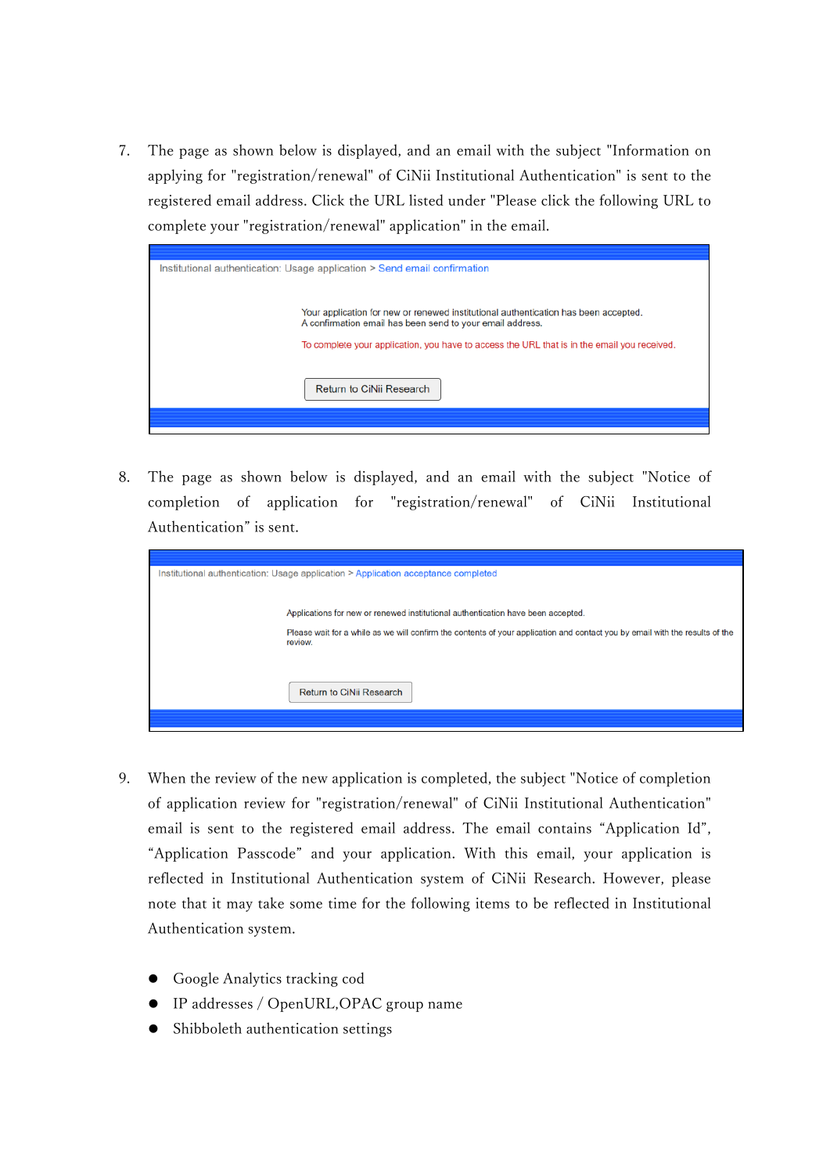7. The page as shown below is displayed, and an email with the subject "Information on applying for "registration/renewal" of CiNii Institutional Authentication" is sent to the registered email address. Click the URL listed under "Please click the following URL to complete your "registration/renewal" application" in the email.



8. The page as shown below is displayed, and an email with the subject "Notice of completion of application for "registration/renewal" of CiNii Institutional Authentication" is sent.

| Institutional authentication: Usage application > Application acceptance completed                                                      |  |  |  |
|-----------------------------------------------------------------------------------------------------------------------------------------|--|--|--|
|                                                                                                                                         |  |  |  |
|                                                                                                                                         |  |  |  |
| Applications for new or renewed institutional authentication have been accepted.                                                        |  |  |  |
| Please wait for a while as we will confirm the contents of your application and contact you by email with the results of the<br>review. |  |  |  |
|                                                                                                                                         |  |  |  |
|                                                                                                                                         |  |  |  |
| Return to CiNii Research                                                                                                                |  |  |  |
|                                                                                                                                         |  |  |  |
|                                                                                                                                         |  |  |  |

- 9. When the review of the new application is completed, the subject "Notice of completion of application review for "registration/renewal" of CiNii Institutional Authentication" email is sent to the registered email address. The email contains "Application Id", "Application Passcode" and your application. With this email, your application is reflected in Institutional Authentication system of CiNii Research. However, please note that it may take some time for the following items to be reflected in Institutional Authentication system.
	- Google Analytics tracking cod
	- IP addresses / OpenURL,OPAC group name
	- Shibboleth authentication settings